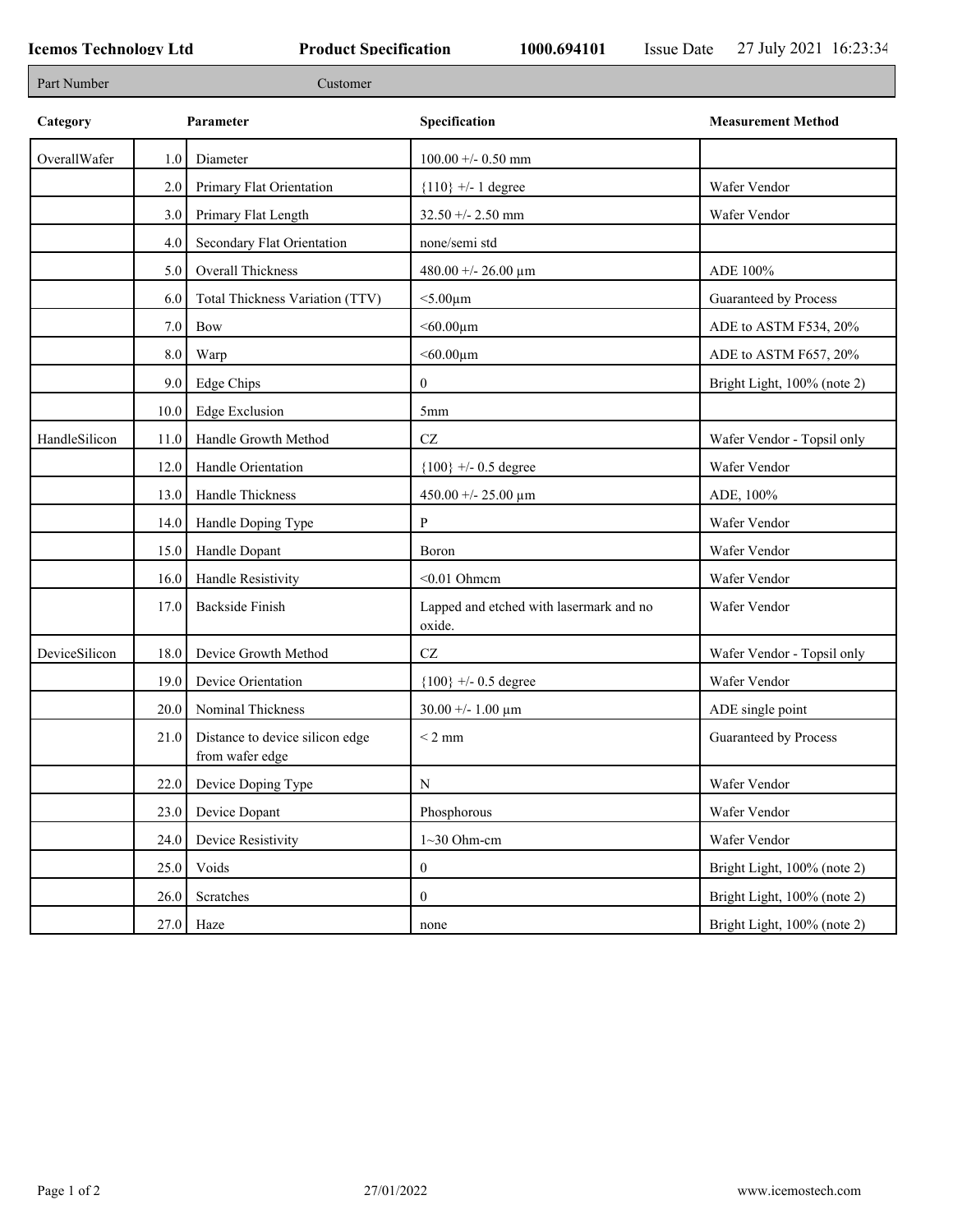Г

J.

| Part Number   |         | Customer                                           |                                                   |                             |
|---------------|---------|----------------------------------------------------|---------------------------------------------------|-----------------------------|
| Category      |         | Parameter                                          | Specification                                     | <b>Measurement Method</b>   |
| OverallWafer  | 1.0     | Diameter                                           | $100.00 +/- 0.50$ mm                              |                             |
|               | 2.0     | Primary Flat Orientation                           | ${110}$ +/- 1 degree                              | Wafer Vendor                |
|               | 3.0     | Primary Flat Length                                | $32.50 + - 2.50$ mm                               | Wafer Vendor                |
|               | 4.0     | Secondary Flat Orientation                         | none/semi std                                     |                             |
|               | 5.0     | Overall Thickness                                  | 480.00 +/- 26.00 $\mu$ m                          | ADE 100%                    |
|               | 6.0     | Total Thickness Variation (TTV)                    | $<$ 5.00 $\mu$ m                                  | Guaranteed by Process       |
|               | 7.0     | Bow                                                | $<$ 60.00 $\mu$ m                                 | ADE to ASTM F534, 20%       |
|               | $8.0\,$ | Warp                                               | $<$ 60.00 $\mu$ m                                 | ADE to ASTM F657, 20%       |
|               | 9.0     | Edge Chips                                         | $\overline{0}$                                    | Bright Light, 100% (note 2) |
|               | 10.0    | <b>Edge Exclusion</b>                              | 5mm                                               |                             |
| HandleSilicon | 11.0    | Handle Growth Method                               | $\operatorname{CZ}$                               | Wafer Vendor - Topsil only  |
|               | 12.0    | Handle Orientation                                 | ${100}$ +/- 0.5 degree                            | Wafer Vendor                |
|               | 13.0    | Handle Thickness                                   | 450.00 +/- 25.00 $\mu$ m                          | ADE, 100%                   |
|               | 14.0    | Handle Doping Type                                 | P                                                 | Wafer Vendor                |
|               | 15.0    | Handle Dopant                                      | Boron                                             | Wafer Vendor                |
|               | 16.0    | Handle Resistivity                                 | $< 0.01$ Ohmem                                    | Wafer Vendor                |
|               | 17.0    | <b>Backside Finish</b>                             | Lapped and etched with lasermark and no<br>oxide. | Wafer Vendor                |
| DeviceSilicon | 18.0    | Device Growth Method                               | $\operatorname{CZ}$                               | Wafer Vendor - Topsil only  |
|               | 19.0    | Device Orientation                                 | ${100}$ +/- 0.5 degree                            | Wafer Vendor                |
|               | 20.0    | Nominal Thickness                                  | $30.00 + - 1.00 \mu m$                            | ADE single point            |
|               | 21.0    | Distance to device silicon edge<br>from wafer edge | $< 2$ mm                                          | Guaranteed by Process       |
|               | 22.0    | Device Doping Type                                 | N                                                 | Wafer Vendor                |
|               | 23.0    | Device Dopant                                      | Phosphorous                                       | Wafer Vendor                |
|               | 24.0    | Device Resistivity                                 | $1~30$ Ohm-cm                                     | Wafer Vendor                |
|               | 25.0    | Voids                                              | $\overline{0}$                                    | Bright Light, 100% (note 2) |
|               | 26.0    | Scratches                                          | $\overline{0}$                                    | Bright Light, 100% (note 2) |
|               | 27.0    | Haze                                               | none                                              | Bright Light, 100% (note 2) |